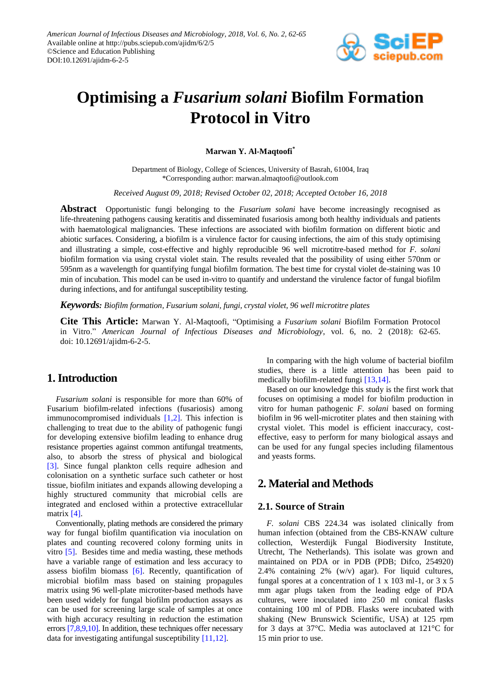

# **Optimising a** *Fusarium solani* **Biofilm Formation Protocol in Vitro**

**Marwan Y. Al-Maqtoofi\***

Department of Biology, College of Sciences, University of Basrah, 61004, Iraq \*Corresponding author: marwan.almaqtoofi@outlook.com

*Received August 09, 2018; Revised October 02, 2018; Accepted October 16, 2018*

**Abstract** Opportunistic fungi belonging to the *Fusarium solani* have become increasingly recognised as life-threatening pathogens causing keratitis and disseminated fusariosis among both healthy individuals and patients with haematological malignancies. These infections are associated with biofilm formation on different biotic and abiotic surfaces. Considering, a biofilm is a virulence factor for causing infections, the aim of this study optimising and illustrating a simple, cost-effective and highly reproducible 96 well microtitre-based method for *F. solani* biofilm formation via using crystal violet stain. The results revealed that the possibility of using either 570nm or 595nm as a wavelength for quantifying fungal biofilm formation. The best time for crystal violet de-staining was 10 min of incubation. This model can be used in-vitro to quantify and understand the virulence factor of fungal biofilm during infections, and for antifungal susceptibility testing.

*Keywords: Biofilm formation, Fusarium solani, fungi, crystal violet, 96 well microtitre plates*

**Cite This Article:** Marwan Y. Al-Maqtoofi, "Optimising a *Fusarium solani* Biofilm Formation Protocol in Vitro." *American Journal of Infectious Diseases and Microbiology*, vol. 6, no. 2 (2018): 62-65. doi: 10.12691/ajidm-6-2-5.

## **1. Introduction**

*Fusarium solani* is responsible for more than 60% of Fusarium biofilm-related infections (fusariosis) among immunocompromised individuals [1,2]. This infection is challenging to treat due to the ability of pathogenic fungi for developing extensive biofilm leading to enhance drug resistance properties against common antifungal treatments, also, to absorb the stress of physical and biological [\[3\].](#page-3-0) Since fungal plankton cells require adhesion and colonisation on a synthetic surface such catheter or host tissue, biofilm initiates and expands allowing developing a highly structured community that microbial cells are integrated and enclosed within a protective extracellular matrix [\[4\].](#page-3-1)

Conventionally, plating methods are considered the primary way for fungal biofilm quantification via inoculation on plates and counting recovered colony forming units in vitro [\[5\].](#page-3-2) Besides time and media wasting, these methods have a variable range of estimation and less accuracy to assess biofilm biomass [\[6\].](#page-3-3) Recently, quantification of microbial biofilm mass based on staining propagules matrix using 96 well-plate microtiter-based methods have been used widely for fungal biofilm production assays as can be used for screening large scale of samples at once with high accuracy resulting in reduction the estimation errors [\[7,8,9,10\].](#page-3-4) In addition, these techniques offer necessary data for investigating antifungal susceptibility [\[11,12\].](#page-3-5)

In comparing with the high volume of bacterial biofilm studies, there is a little attention has been paid to medically biofilm-related fungi [\[13,14\].](#page-3-6)

Based on our knowledge this study is the first work that focuses on optimising a model for biofilm production in vitro for human pathogenic *F. solani* based on forming biofilm in 96 well-microtiter plates and then staining with crystal violet. This model is efficient inaccuracy, costeffective, easy to perform for many biological assays and can be used for any fungal species including filamentous and yeasts forms.

# **2. Material and Methods**

## **2.1. Source of Strain**

*F. solani* CBS 224.34 was isolated clinically from human infection (obtained from the CBS-KNAW culture collection, Westerdijk Fungal Biodiversity Institute, Utrecht, The Netherlands). This isolate was grown and maintained on PDA or in PDB (PDB; Difco, 254920) 2.4% containing 2% (w/v) agar). For liquid cultures, fungal spores at a concentration of  $1 \times 103$  ml-1, or  $3 \times 5$ mm agar plugs taken from the leading edge of PDA cultures, were inoculated into 250 ml conical flasks containing 100 ml of PDB. Flasks were incubated with shaking (New Brunswick Scientific, USA) at 125 rpm for 3 days at 37°C. Media was autoclaved at 121°C for 15 min prior to use.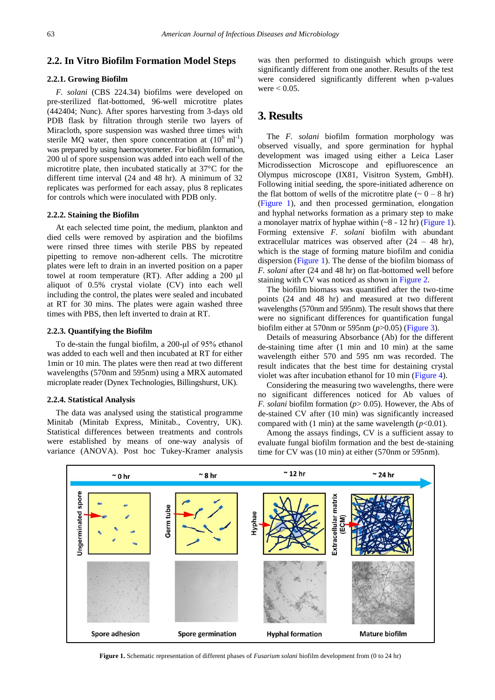## **2.2. In Vitro Biofilm Formation Model Steps**

## **2.2.1. Growing Biofilm**

*F. solani* (CBS 224.34) biofilms were developed on pre-sterilized flat-bottomed, 96-well microtitre plates (442404; Nunc). After spores harvesting from 3-days old PDB flask by filtration through sterile two layers of Miracloth, spore suspension was washed three times with sterile MQ water, then spore concentration at  $(10^6 \text{ ml}^{-1})$ was prepared by using haemocytometer. For biofilm formation, 200 ul of spore suspension was added into each well of the microtitre plate, then incubated statically at 37°C for the different time interval (24 and 48 hr). A minimum of 32 replicates was performed for each assay, plus 8 replicates for controls which were inoculated with PDB only.

### **2.2.2. Staining the Biofilm**

At each selected time point, the medium, plankton and died cells were removed by aspiration and the biofilms were rinsed three times with sterile PBS by repeated pipetting to remove non-adherent cells. The microtitre plates were left to drain in an inverted position on a paper towel at room temperature (RT). After adding a 200 μl aliquot of 0.5% crystal violate (CV) into each well including the control, the plates were sealed and incubated at RT for 30 mins. The plates were again washed three times with PBS, then left inverted to drain at RT.

#### **2.2.3. Quantifying the Biofilm**

To de-stain the fungal biofilm, a 200-μl of 95% ethanol was added to each well and then incubated at RT for either 1min or 10 min. The plates were then read at two different wavelengths (570nm and 595nm) using a MRX automated microplate reader (Dynex Technologies, Billingshurst, UK).

#### **2.2.4. Statistical Analysis**

The data was analysed using the statistical programme Minitab (Minitab Express, Minitab., Coventry, UK). Statistical differences between treatments and controls were established by means of one-way analysis of variance (ANOVA). Post hoc Tukey-Kramer analysis

was then performed to distinguish which groups were significantly different from one another. Results of the test were considered significantly different when p-values were  $< 0.05$ .

# **3. Results**

The *F. solani* biofilm formation morphology was observed visually, and spore germination for hyphal development was imaged using either a Leica Laser Microdissection Microscope and epifluorescence an Olympus microscope (IX81, Visitron System, GmbH). Following initial seeding, the spore-initiated adherence on the flat bottom of wells of the microtitre plate  $(-0 - 8)$  hr) [\(Figure 1\)](#page-1-0), and then processed germination, elongation and hyphal networks formation as a primary step to make a monolayer matrix of hyphae within  $(-8 - 12$  hr) [\(Figure 1\)](#page-1-0). Forming extensive *F. solani* biofilm with abundant extracellular matrices was observed after  $(24 - 48 \text{ hr})$ , which is the stage of forming mature biofilm and conidia dispersion [\(Figure 1\)](#page-1-0). The dense of the biofilm biomass of *F. solani* after (24 and 48 hr) on flat-bottomed well before staining with CV was noticed as shown i[n Figure](#page-2-0) 2.

The biofilm biomass was quantified after the two-time points (24 and 48 hr) and measured at two different wavelengths (570nm and 595nm). The result shows that there were no significant differences for quantification fungal biofilm either at 570nm or 595nm (*p*>0.05) [\(Figure 3\)](#page-2-1).

Details of measuring Absorbance (Ab) for the different de-staining time after (1 min and 10 min) at the same wavelength either 570 and 595 nm was recorded. The result indicates that the best time for destaining crystal violet was after incubation ethanol for 10 min [\(Figure 4\)](#page-2-2).

Considering the measuring two wavelengths, there were no significant differences noticed for Ab values of *F. solani* biofilm formation (*p*> 0.05). However, the Abs of de-stained CV after (10 min) was significantly increased compared with  $(1 \text{ min})$  at the same wavelength  $(p<0.01)$ .

Among the assays findings, CV is a sufficient assay to evaluate fungal biofilm formation and the best de-staining time for CV was (10 min) at either (570nm or 595nm).

<span id="page-1-0"></span>

**Figure 1.** Schematic representation of different phases of *Fusarium solani* biofilm development from (0 to 24 hr)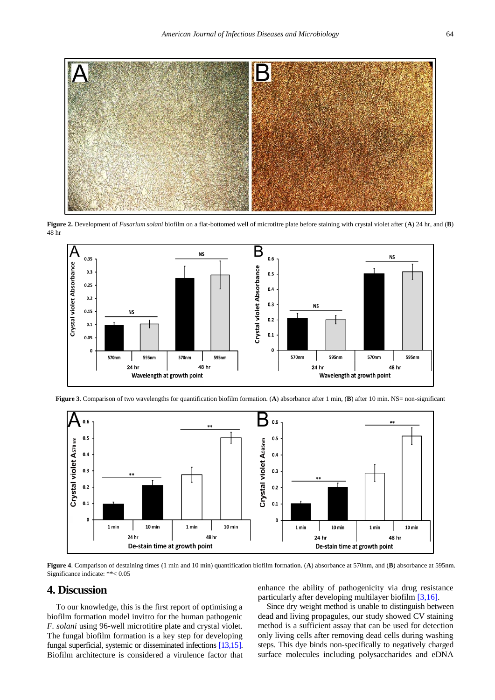<span id="page-2-0"></span>

**Figure 2.** Development of *Fusarium solani* biofilm on a flat-bottomed well of microtitre plate before staining with crystal violet after (**A**) 24 hr, and (**B**) 48 hr

<span id="page-2-1"></span>

<span id="page-2-2"></span>

**Figure 3**. Comparison of two wavelengths for quantification biofilm formation. (**A**) absorbance after 1 min, (**B**) after 10 min. NS= non-significant

**Figure 4**. Comparison of destaining times (1 min and 10 min) quantification biofilm formation. (**A**) absorbance at 570nm, and (**B**) absorbance at 595nm. Significance indicate: \*\*< 0.05

### **4. Discussion**

To our knowledge, this is the first report of optimising a biofilm formation model invitro for the human pathogenic *F. solani* using 96-well microtitire plate and crystal violet. The fungal biofilm formation is a key step for developing fungal superficial, systemic or disseminated infections [\[13,15\].](#page-3-6) Biofilm architecture is considered a virulence factor that enhance the ability of pathogenicity via drug resistance particularly after developing multilayer biofilm [\[3,16\].](#page-3-0)

Since dry weight method is unable to distinguish between dead and living propagules, our study showed CV staining method is a sufficient assay that can be used for detection only living cells after removing dead cells during washing steps. This dye binds non-specifically to negatively charged surface molecules including polysaccharides and eDNA